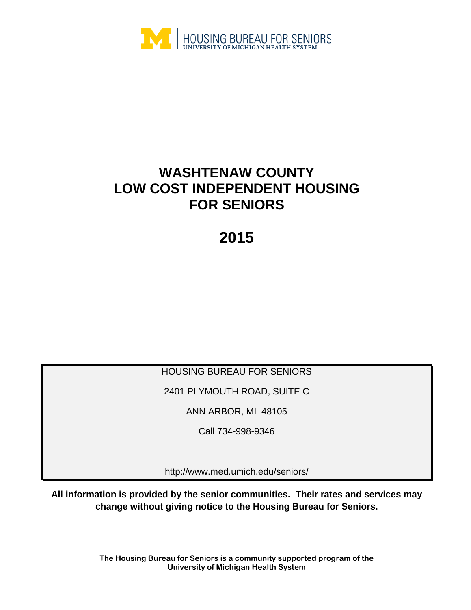

# **WASHTENAW COUNTY LOW COST INDEPENDENT HOUSING FOR SENIORS**

**2015**

HOUSING BUREAU FOR SENIORS

2401 PLYMOUTH ROAD, SUITE C

ANN ARBOR, MI 48105

Call 734-998-9346

http://www.med.umich.edu/seniors/

**All information is provided by the senior communities. Their rates and services may change without giving notice to the Housing Bureau for Seniors.**

> **The Housing Bureau for Seniors is a community supported program of the University of Michigan Health System**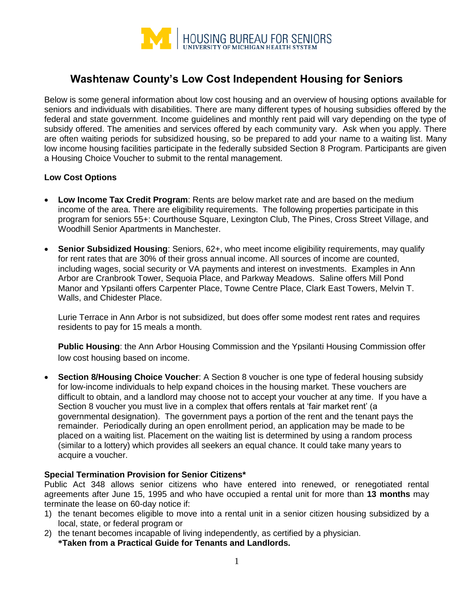

# **Washtenaw County's Low Cost Independent Housing for Seniors**

Below is some general information about low cost housing and an overview of housing options available for seniors and individuals with disabilities. There are many different types of housing subsidies offered by the federal and state government. Income guidelines and monthly rent paid will vary depending on the type of subsidy offered. The amenities and services offered by each community vary. Ask when you apply. There are often waiting periods for subsidized housing, so be prepared to add your name to a waiting list. Many low income housing facilities participate in the federally subsided Section 8 Program. Participants are given a Housing Choice Voucher to submit to the rental management.

#### **Low Cost Options**

- **Low Income Tax Credit Program**: Rents are below market rate and are based on the medium income of the area. There are eligibility requirements. The following properties participate in this program for seniors 55+: Courthouse Square, Lexington Club, The Pines, Cross Street Village, and Woodhill Senior Apartments in Manchester.
- **Senior Subsidized Housing**: Seniors, 62+, who meet income eligibility requirements, may qualify for rent rates that are 30% of their gross annual income. All sources of income are counted, including wages, social security or VA payments and interest on investments. Examples in Ann Arbor are Cranbrook Tower, Sequoia Place, and Parkway Meadows. Saline offers Mill Pond Manor and Ypsilanti offers Carpenter Place, Towne Centre Place, Clark East Towers, Melvin T. Walls, and Chidester Place.

Lurie Terrace in Ann Arbor is not subsidized, but does offer some modest rent rates and requires residents to pay for 15 meals a month.

**Public Housing**: the Ann Arbor Housing Commission and the Ypsilanti Housing Commission offer low cost housing based on income.

**Section 8/Housing Choice Voucher:** A Section 8 voucher is one type of federal housing subsidy for low-income individuals to help expand choices in the housing market. These vouchers are difficult to obtain, and a landlord may choose not to accept your voucher at any time. If you have a Section 8 voucher you must live in a complex that offers rentals at 'fair market rent' (a governmental designation). The government pays a portion of the rent and the tenant pays the remainder. Periodically during an open enrollment period, an application may be made to be placed on a waiting list. Placement on the waiting list is determined by using a random process (similar to a lottery) which provides all seekers an equal chance. It could take many years to acquire a voucher.

#### **Special Termination Provision for Senior Citizens\***

Public Act 348 allows senior citizens who have entered into renewed, or renegotiated rental agreements after June 15, 1995 and who have occupied a rental unit for more than **13 months** may terminate the lease on 60-day notice if:

- 1) the tenant becomes eligible to move into a rental unit in a senior citizen housing subsidized by a local, state, or federal program or
- 2) the tenant becomes incapable of living independently, as certified by a physician. **\*Taken from a Practical Guide for Tenants and Landlords.**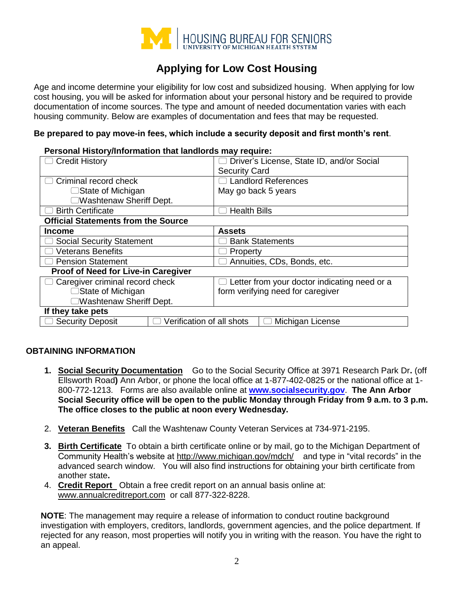

# **Applying for Low Cost Housing**

Age and income determine your eligibility for low cost and subsidized housing. When applying for low cost housing, you will be asked for information about your personal history and be required to provide documentation of income sources. The type and amount of needed documentation varies with each housing community. Below are examples of documentation and fees that may be requested.

#### **Be prepared to pay move-in fees, which include a security deposit and first month's rent**.

#### **Personal History/Information that landlords may require:**

| <b>Credit History</b>                                | Driver's License, State ID, and/or Social    |  |
|------------------------------------------------------|----------------------------------------------|--|
|                                                      | <b>Security Card</b>                         |  |
| Criminal record check                                | <b>Landlord References</b>                   |  |
| □State of Michigan                                   | May go back 5 years                          |  |
| □Washtenaw Sheriff Dept.                             |                                              |  |
| <b>Birth Certificate</b>                             | <b>Health Bills</b>                          |  |
| <b>Official Statements from the Source</b>           |                                              |  |
| <b>Income</b>                                        | <b>Assets</b>                                |  |
| <b>Social Security Statement</b>                     | <b>Bank Statements</b>                       |  |
| <b>Veterans Benefits</b>                             | Property                                     |  |
| <b>Pension Statement</b>                             | Annuities, CDs, Bonds, etc.                  |  |
| Proof of Need for Live-in Caregiver                  |                                              |  |
| Caregiver criminal record check                      | Letter from your doctor indicating need or a |  |
| $\Box$ State of Michigan                             | form verifying need for caregiver            |  |
| □Washtenaw Sheriff Dept.                             |                                              |  |
| If they take pets                                    |                                              |  |
| <b>Security Deposit</b><br>Verification of all shots | Michigan License                             |  |

#### **OBTAINING INFORMATION**

- **1. Social Security Documentation** Go to the Social Security Office at 3971 Research Park Dr**.** (off Ellsworth Road**)** Ann Arbor, or phone the local office at 1-877-402-0825 or the national office at 1- 800-772-1213. Forms are also available online at **[www.socialsecurity.gov](http://www.socialsecurity.gov/)**. **The Ann Arbor Social Security office will be open to the public Monday through Friday from 9 a.m. to 3 p.m. The office closes to the public at noon every Wednesday.**
- 2. **Veteran Benefits** Call the Washtenaw County Veteran Services at 734-971-2195.
- **3. Birth Certificate** To obtain a birth certificate online or by mail, go to the Michigan Department of Community Health's website at<http://www.michigan.gov/mdch/>and type in "vital records" in the advanced search window. You will also find instructions for obtaining your birth certificate from another state**.**
- 4. **Credit Report** Obtain a free credit report on an annual basis online at: [www.annualcreditreport.com](http://www.annualcreditreport.com/) or call 877-322-8228.

**NOTE**: The management may require a release of information to conduct routine background investigation with employers, creditors, landlords, government agencies, and the police department. If rejected for any reason, most properties will notify you in writing with the reason. You have the right to an appeal.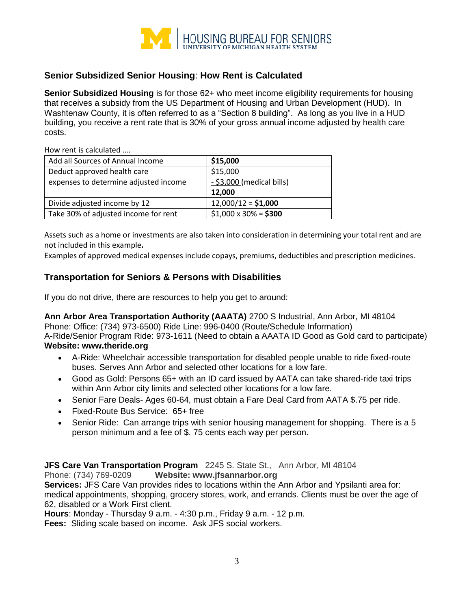

# **Senior Subsidized Senior Housing**: **How Rent is Calculated**

**Senior Subsidized Housing** is for those 62+ who meet income eligibility requirements for housing that receives a subsidy from the US Department of Housing and Urban Development (HUD). In Washtenaw County, it is often referred to as a "Section 8 building". As long as you live in a HUD building, you receive a rent rate that is 30% of your gross annual income adjusted by health care costs.

How rent is calculated ….

| Add all Sources of Annual Income      | \$15,000                    |
|---------------------------------------|-----------------------------|
| Deduct approved health care           | \$15,000                    |
| expenses to determine adjusted income | - \$3,000 (medical bills)   |
|                                       | 12,000                      |
| Divide adjusted income by 12          | $12,000/12 = $1,000$        |
| Take 30% of adjusted income for rent  | $$1,000 \times 30\% = $300$ |

Assets such as a home or investments are also taken into consideration in determining your total rent and are not included in this example**.**

Examples of approved medical expenses include copays, premiums, deductibles and prescription medicines.

# **Transportation for Seniors & Persons with Disabilities**

If you do not drive, there are resources to help you get to around:

**Ann Arbor Area Transportation Authority (AAATA)** 2700 S Industrial, Ann Arbor, MI 48104 Phone: Office: (734) 973-6500) Ride Line: 996-0400 (Route/Schedule Information) A-Ride/Senior Program Ride: 973-1611 (Need to obtain a AAATA ID Good as Gold card to participate) **Website: www.theride.org**

- A-Ride: Wheelchair accessible transportation for disabled people unable to ride fixed-route buses. Serves Ann Arbor and selected other locations for a low fare.
- Good as Gold: Persons 65+ with an ID card issued by AATA can take shared-ride taxi trips within Ann Arbor city limits and selected other locations for a low fare.
- Senior Fare Deals- Ages 60-64, must obtain a Fare Deal Card from AATA \$.75 per ride.
- Fixed-Route Bus Service: 65+ free
- Senior Ride: Can arrange trips with senior housing management for shopping. There is a 5 person minimum and a fee of \$. 75 cents each way per person.

**JFS Care Van Transportation Program** 2245 S. State St., Ann Arbor, MI 48104

Phone: (734) 769-0209 **Website: www.jfsannarbor.org**

**Services:** JFS Care Van provides rides to locations within the Ann Arbor and Ypsilanti area for: medical appointments, shopping, grocery stores, work, and errands. Clients must be over the age of 62, disabled or a Work First client.

**Hours**: Monday - Thursday 9 a.m. - 4:30 p.m., Friday 9 a.m. - 12 p.m.

**Fees:** Sliding scale based on income. Ask JFS social workers.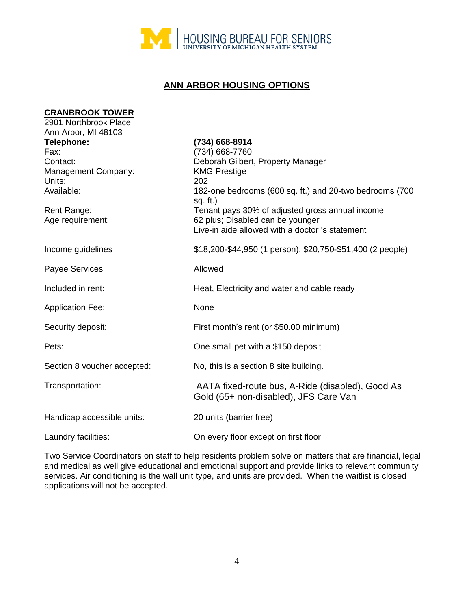

# **ANN ARBOR HOUSING OPTIONS**

| <b>CRANBROOK TOWER</b>      |                                                                                           |
|-----------------------------|-------------------------------------------------------------------------------------------|
| 2901 Northbrook Place       |                                                                                           |
| Ann Arbor, MI 48103         |                                                                                           |
| Telephone:                  | (734) 668-8914                                                                            |
| Fax:                        | (734) 668-7760                                                                            |
| Contact:                    | Deborah Gilbert, Property Manager                                                         |
| Management Company:         | <b>KMG Prestige</b>                                                                       |
| Units:                      | 202                                                                                       |
| Available:                  | 182-one bedrooms (600 sq. ft.) and 20-two bedrooms (700<br>sq. $ft.$ )                    |
| Rent Range:                 | Tenant pays 30% of adjusted gross annual income                                           |
| Age requirement:            | 62 plus; Disabled can be younger                                                          |
|                             | Live-in aide allowed with a doctor 's statement                                           |
| Income guidelines           | \$18,200-\$44,950 (1 person); \$20,750-\$51,400 (2 people)                                |
| Payee Services              | Allowed                                                                                   |
| Included in rent:           | Heat, Electricity and water and cable ready                                               |
| <b>Application Fee:</b>     | None                                                                                      |
| Security deposit:           | First month's rent (or \$50.00 minimum)                                                   |
| Pets:                       | One small pet with a \$150 deposit                                                        |
| Section 8 voucher accepted: | No, this is a section 8 site building.                                                    |
| Transportation:             | AATA fixed-route bus, A-Ride (disabled), Good As<br>Gold (65+ non-disabled), JFS Care Van |
| Handicap accessible units:  | 20 units (barrier free)                                                                   |
| Laundry facilities:         | On every floor except on first floor                                                      |

Two Service Coordinators on staff to help residents problem solve on matters that are financial, legal and medical as well give educational and emotional support and provide links to relevant community services. Air conditioning is the wall unit type, and units are provided. When the waitlist is closed applications will not be accepted.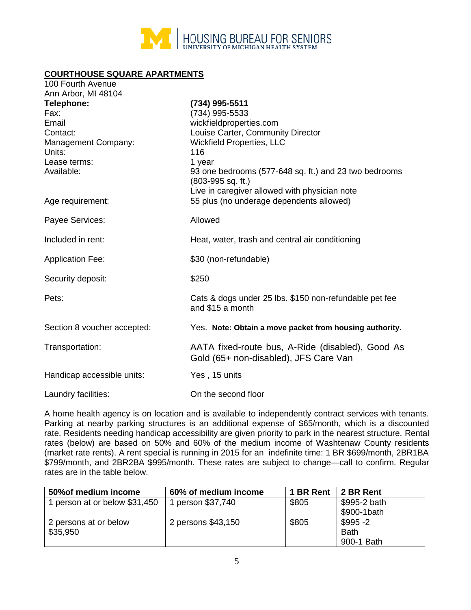

# **COURTHOUSE SQUARE APARTMENTS**

| 100 Fourth Avenue<br>Ann Arbor, MI 48104                                                               |                                                                                                                                                                                                                                                                                        |
|--------------------------------------------------------------------------------------------------------|----------------------------------------------------------------------------------------------------------------------------------------------------------------------------------------------------------------------------------------------------------------------------------------|
| Telephone:<br>Fax:<br>Email<br>Contact:<br>Management Company:<br>Units:<br>Lease terms:<br>Available: | (734) 995-5511<br>(734) 995-5533<br>wickfieldproperties.com<br>Louise Carter, Community Director<br><b>Wickfield Properties, LLC</b><br>116<br>1 year<br>93 one bedrooms (577-648 sq. ft.) and 23 two bedrooms<br>$(803-995 sq. ft.)$<br>Live in caregiver allowed with physician note |
| Age requirement:                                                                                       | 55 plus (no underage dependents allowed)                                                                                                                                                                                                                                               |
| Payee Services:                                                                                        | Allowed                                                                                                                                                                                                                                                                                |
| Included in rent:                                                                                      | Heat, water, trash and central air conditioning                                                                                                                                                                                                                                        |
| <b>Application Fee:</b>                                                                                | \$30 (non-refundable)                                                                                                                                                                                                                                                                  |
| Security deposit:                                                                                      | \$250                                                                                                                                                                                                                                                                                  |
| Pets:                                                                                                  | Cats & dogs under 25 lbs. \$150 non-refundable pet fee<br>and \$15 a month                                                                                                                                                                                                             |
| Section 8 voucher accepted:                                                                            | Yes. Note: Obtain a move packet from housing authority.                                                                                                                                                                                                                                |
| Transportation:                                                                                        | AATA fixed-route bus, A-Ride (disabled), Good As<br>Gold (65+ non-disabled), JFS Care Van                                                                                                                                                                                              |
| Handicap accessible units:                                                                             | Yes, 15 units                                                                                                                                                                                                                                                                          |
| Laundry facilities:                                                                                    | On the second floor                                                                                                                                                                                                                                                                    |

A home health agency is on location and is available to independently contract services with tenants. Parking at nearby parking structures is an additional expense of \$65/month, which is a discounted rate. Residents needing handicap accessibility are given priority to park in the nearest structure. Rental rates (below) are based on 50% and 60% of the medium income of Washtenaw County residents (market rate rents). A rent special is running in 2015 for an indefinite time: 1 BR \$699/month, 2BR1BA \$799/month, and 2BR2BA \$995/month. These rates are subject to change—call to confirm. Regular rates are in the table below.

| 50% of medium income          | 60% of medium income | 1 BR Rent | 2 BR Rent    |
|-------------------------------|----------------------|-----------|--------------|
| 1 person at or below \$31,450 | 1 person \$37,740    | \$805     | \$995-2 bath |
|                               |                      |           | \$900-1bath  |
| 2 persons at or below         | 2 persons \$43,150   | \$805     | $$995 -2$    |
| \$35,950                      |                      |           | <b>Bath</b>  |
|                               |                      |           | 900-1 Bath   |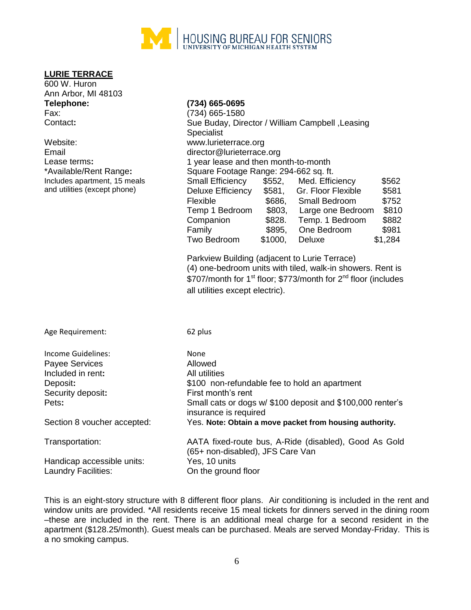

#### **LURIE TERRACE**

| 600 W. Huron        |                 |
|---------------------|-----------------|
| Ann Arbor, MI 48103 |                 |
| Telephone:          | (734) 665-0695  |
| Fax:                | (734) 665-1580  |
| Contact:            | Sue Buday, Dire |

# **Telephone: (734) 665-0695**

| TVIVNIVIIV.                  | <b>UUTI UUU UUUU</b>                  |         |                                                 |         |
|------------------------------|---------------------------------------|---------|-------------------------------------------------|---------|
| Fax:                         | (734) 665-1580                        |         |                                                 |         |
| Contact:                     |                                       |         | Sue Buday, Director / William Campbell, Leasing |         |
|                              | <b>Specialist</b>                     |         |                                                 |         |
| Website:                     | www.lurieterrace.org                  |         |                                                 |         |
| Email                        | director@lurieterrace.org             |         |                                                 |         |
| Lease terms <b>:</b>         | 1 year lease and then month-to-month  |         |                                                 |         |
| *Available/Rent Range:       | Square Footage Range: 294-662 sq. ft. |         |                                                 |         |
| Includes apartment, 15 meals | <b>Small Efficiency</b>               | \$552,  | Med. Efficiency                                 | \$562   |
| and utilities (except phone) | Deluxe Efficiency                     | \$581,  | Gr. Floor Flexible                              | \$581   |
|                              | Flexible                              | \$686,  | Small Bedroom                                   | \$752   |
|                              | Temp 1 Bedroom                        | \$803,  | Large one Bedroom                               | \$810   |
|                              | Companion                             | \$828.  | Temp. 1 Bedroom                                 | \$882   |
|                              | Family                                | \$895,  | One Bedroom                                     | \$981   |
|                              | Two Bedroom                           | \$1000. | Deluxe                                          | \$1,284 |
|                              |                                       |         |                                                 |         |

Parkview Building (adjacent to Lurie Terrace) (4) one-bedroom units with tiled, walk-in showers. Rent is \$707/month for 1<sup>st</sup> floor; \$773/month for 2<sup>nd</sup> floor (includes all utilities except electric).

| Age Requirement:            | 62 plus                                                                                   |
|-----------------------------|-------------------------------------------------------------------------------------------|
| <b>Income Guidelines:</b>   | None                                                                                      |
| Payee Services              | Allowed                                                                                   |
| Included in rent:           | All utilities                                                                             |
| Deposit:                    | \$100 non-refundable fee to hold an apartment                                             |
| Security deposit:           | First month's rent                                                                        |
| Pets:                       | Small cats or dogs w/ \$100 deposit and \$100,000 renter's<br>insurance is required       |
| Section 8 voucher accepted: | Yes. Note: Obtain a move packet from housing authority.                                   |
| Transportation:             | AATA fixed-route bus, A-Ride (disabled), Good As Gold<br>(65+ non-disabled), JFS Care Van |
| Handicap accessible units:  | Yes, 10 units                                                                             |
| Laundry Facilities:         | On the ground floor                                                                       |
|                             |                                                                                           |

This is an eight-story structure with 8 different floor plans. Air conditioning is included in the rent and window units are provided. \*All residents receive 15 meal tickets for dinners served in the dining room –these are included in the rent. There is an additional meal charge for a second resident in the apartment (\$128.25/month). Guest meals can be purchased. Meals are served Monday-Friday. This is a no smoking campus.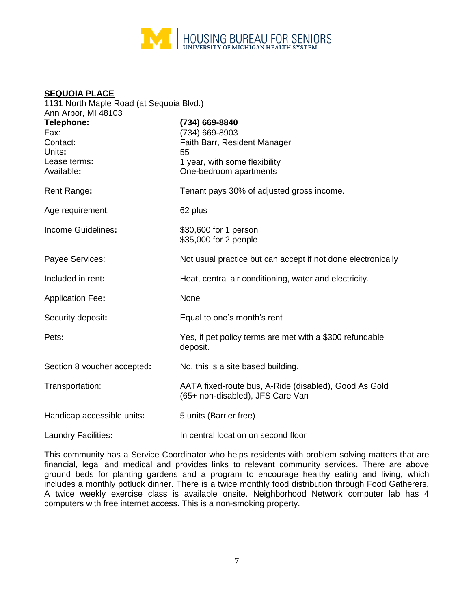

#### **SEQUOIA PLACE**

| 1131 North Maple Road (at Sequoia Blvd.) |                                                                                           |  |  |
|------------------------------------------|-------------------------------------------------------------------------------------------|--|--|
| Ann Arbor, MI 48103                      |                                                                                           |  |  |
| Telephone:                               | (734) 669-8840                                                                            |  |  |
| Fax:                                     | (734) 669-8903                                                                            |  |  |
| Contact:                                 | Faith Barr, Resident Manager                                                              |  |  |
| Units:                                   | 55                                                                                        |  |  |
| Lease terms:                             | 1 year, with some flexibility                                                             |  |  |
| Available:                               | One-bedroom apartments                                                                    |  |  |
|                                          |                                                                                           |  |  |
| Rent Range:                              | Tenant pays 30% of adjusted gross income.                                                 |  |  |
| Age requirement:                         | 62 plus                                                                                   |  |  |
|                                          |                                                                                           |  |  |
| Income Guidelines:                       | \$30,600 for 1 person                                                                     |  |  |
|                                          | \$35,000 for 2 people                                                                     |  |  |
|                                          |                                                                                           |  |  |
| Payee Services:                          | Not usual practice but can accept if not done electronically                              |  |  |
| Included in rent:                        | Heat, central air conditioning, water and electricity.                                    |  |  |
|                                          |                                                                                           |  |  |
| <b>Application Fee:</b>                  | None                                                                                      |  |  |
|                                          |                                                                                           |  |  |
| Security deposit:                        | Equal to one's month's rent                                                               |  |  |
| Pets:                                    | Yes, if pet policy terms are met with a \$300 refundable                                  |  |  |
|                                          | deposit.                                                                                  |  |  |
|                                          |                                                                                           |  |  |
| Section 8 voucher accepted:              | No, this is a site based building.                                                        |  |  |
|                                          |                                                                                           |  |  |
| Transportation:                          | AATA fixed-route bus, A-Ride (disabled), Good As Gold<br>(65+ non-disabled), JFS Care Van |  |  |
|                                          |                                                                                           |  |  |
| Handicap accessible units:               | 5 units (Barrier free)                                                                    |  |  |
|                                          |                                                                                           |  |  |
| <b>Laundry Facilities:</b>               | In central location on second floor                                                       |  |  |

This community has a Service Coordinator who helps residents with problem solving matters that are financial, legal and medical and provides links to relevant community services. There are above ground beds for planting gardens and a program to encourage healthy eating and living, which includes a monthly potluck dinner. There is a twice monthly food distribution through Food Gatherers. A twice weekly exercise class is available onsite. Neighborhood Network computer lab has 4 computers with free internet access. This is a non-smoking property.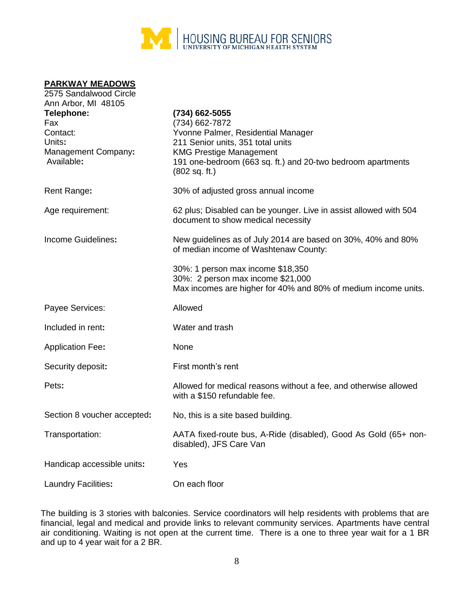

#### **PARKWAY MEADOWS**

| 2575 Sandalwood Circle                                                                              |                                                                                                                                                                                                                               |
|-----------------------------------------------------------------------------------------------------|-------------------------------------------------------------------------------------------------------------------------------------------------------------------------------------------------------------------------------|
| Ann Arbor, MI 48105<br>Telephone:<br>Fax<br>Contact:<br>Units:<br>Management Company:<br>Available: | (734) 662-5055<br>(734) 662-7872<br>Yvonne Palmer, Residential Manager<br>211 Senior units, 351 total units<br><b>KMG Prestige Management</b><br>191 one-bedroom (663 sq. ft.) and 20-two bedroom apartments<br>(802 sq. ft.) |
| Rent Range:                                                                                         | 30% of adjusted gross annual income                                                                                                                                                                                           |
| Age requirement:                                                                                    | 62 plus; Disabled can be younger. Live in assist allowed with 504<br>document to show medical necessity                                                                                                                       |
| Income Guidelines:                                                                                  | New guidelines as of July 2014 are based on 30%, 40% and 80%<br>of median income of Washtenaw County:                                                                                                                         |
|                                                                                                     | 30%: 1 person max income \$18,350<br>30%: 2 person max income \$21,000<br>Max incomes are higher for 40% and 80% of medium income units.                                                                                      |
| Payee Services:                                                                                     | Allowed                                                                                                                                                                                                                       |
| Included in rent:                                                                                   | Water and trash                                                                                                                                                                                                               |
| <b>Application Fee:</b>                                                                             | None                                                                                                                                                                                                                          |
| Security deposit:                                                                                   | First month's rent                                                                                                                                                                                                            |
| Pets:                                                                                               | Allowed for medical reasons without a fee, and otherwise allowed<br>with a \$150 refundable fee.                                                                                                                              |
| Section 8 voucher accepted:                                                                         | No, this is a site based building.                                                                                                                                                                                            |
| Transportation:                                                                                     | AATA fixed-route bus, A-Ride (disabled), Good As Gold (65+ non-<br>disabled), JFS Care Van                                                                                                                                    |
| Handicap accessible units:                                                                          | Yes                                                                                                                                                                                                                           |
| Laundry Facilities:                                                                                 | On each floor                                                                                                                                                                                                                 |

The building is 3 stories with balconies. Service coordinators will help residents with problems that are financial, legal and medical and provide links to relevant community services. Apartments have central air conditioning. Waiting is not open at the current time. There is a one to three year wait for a 1 BR and up to 4 year wait for a 2 BR.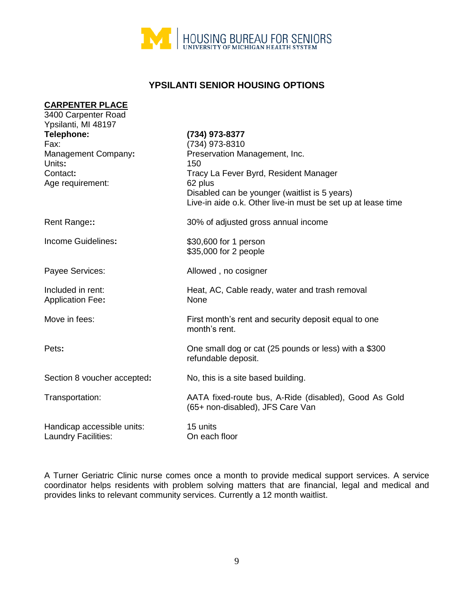

# **YPSILANTI SENIOR HOUSING OPTIONS**

| <b>CARPENTER PLACE</b><br>3400 Carpenter Road |                                                                       |
|-----------------------------------------------|-----------------------------------------------------------------------|
| Ypsilanti, MI 48197                           |                                                                       |
| Telephone:                                    | (734) 973-8377                                                        |
| Fax:                                          | (734) 973-8310                                                        |
| Management Company:                           | Preservation Management, Inc.                                         |
| Units:                                        | 150                                                                   |
| Contact:                                      | Tracy La Fever Byrd, Resident Manager                                 |
| Age requirement:                              | 62 plus                                                               |
|                                               | Disabled can be younger (waitlist is 5 years)                         |
|                                               | Live-in aide o.k. Other live-in must be set up at lease time          |
| Rent Range::                                  | 30% of adjusted gross annual income                                   |
| Income Guidelines:                            | \$30,600 for 1 person                                                 |
|                                               | \$35,000 for 2 people                                                 |
|                                               |                                                                       |
| Payee Services:                               | Allowed, no cosigner                                                  |
| Included in rent:                             | Heat, AC, Cable ready, water and trash removal                        |
| <b>Application Fee:</b>                       | None                                                                  |
|                                               |                                                                       |
| Move in fees:                                 | First month's rent and security deposit equal to one<br>month's rent. |
|                                               |                                                                       |
| Pets:                                         | One small dog or cat (25 pounds or less) with a \$300                 |
|                                               | refundable deposit.                                                   |
| Section 8 voucher accepted:                   | No, this is a site based building.                                    |
|                                               |                                                                       |
| Transportation:                               | AATA fixed-route bus, A-Ride (disabled), Good As Gold                 |
|                                               | (65+ non-disabled), JFS Care Van                                      |
| Handicap accessible units:                    | 15 units                                                              |
| Laundry Facilities:                           | On each floor                                                         |

A Turner Geriatric Clinic nurse comes once a month to provide medical support services. A service coordinator helps residents with problem solving matters that are financial, legal and medical and provides links to relevant community services. Currently a 12 month waitlist.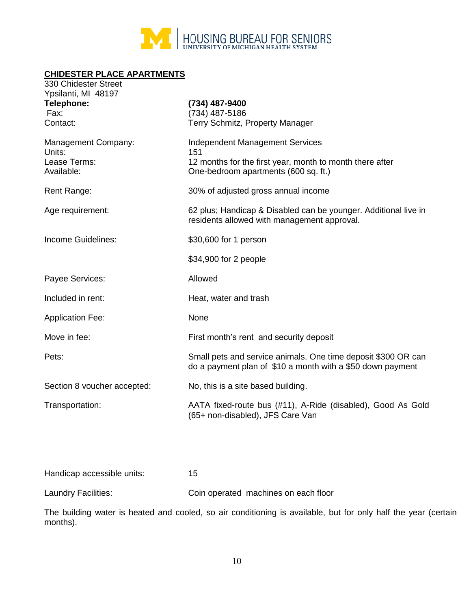

# **CHIDESTER PLACE APARTMENTS**

| 330 Chidester Street<br>Ypsilanti, MI 48197 |                                                                                                                             |
|---------------------------------------------|-----------------------------------------------------------------------------------------------------------------------------|
| Telephone:                                  | (734) 487-9400                                                                                                              |
| Fax:                                        | (734) 487-5186                                                                                                              |
| Contact:                                    | Terry Schmitz, Property Manager                                                                                             |
| Management Company:<br>Units:               | <b>Independent Management Services</b><br>151                                                                               |
| Lease Terms:<br>Available:                  | 12 months for the first year, month to month there after<br>One-bedroom apartments (600 sq. ft.)                            |
| Rent Range:                                 | 30% of adjusted gross annual income                                                                                         |
| Age requirement:                            | 62 plus; Handicap & Disabled can be younger. Additional live in<br>residents allowed with management approval.              |
| Income Guidelines:                          | \$30,600 for 1 person                                                                                                       |
|                                             | \$34,900 for 2 people                                                                                                       |
| Payee Services:                             | Allowed                                                                                                                     |
| Included in rent:                           | Heat, water and trash                                                                                                       |
| <b>Application Fee:</b>                     | None                                                                                                                        |
| Move in fee:                                | First month's rent and security deposit                                                                                     |
| Pets:                                       | Small pets and service animals. One time deposit \$300 OR can<br>do a payment plan of \$10 a month with a \$50 down payment |
| Section 8 voucher accepted:                 | No, this is a site based building.                                                                                          |
| Transportation:                             | AATA fixed-route bus (#11), A-Ride (disabled), Good As Gold<br>(65+ non-disabled), JFS Care Van                             |
|                                             |                                                                                                                             |

Handicap accessible units: 15

Laundry Facilities: Coin operated machines on each floor

The building water is heated and cooled, so air conditioning is available, but for only half the year (certain months).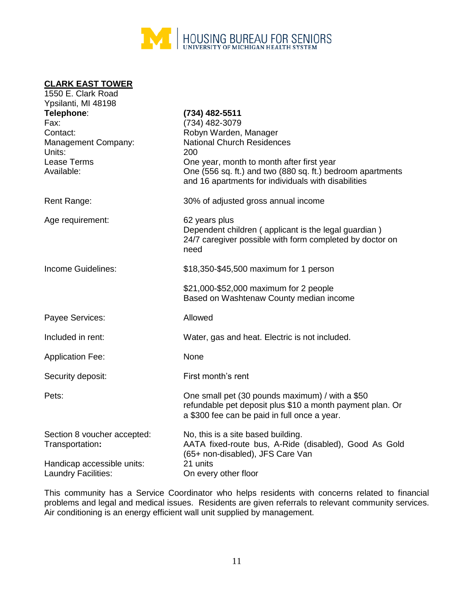

#### **CLARK EAST TOWER** 1550 E. Clark Road

| <b>IJJU L. VIAIN INJAU</b><br>Ypsilanti, MI 48198 |                                                            |
|---------------------------------------------------|------------------------------------------------------------|
| Telephone:                                        | (734) 482-5511                                             |
| Fax:                                              | (734) 482-3079                                             |
| Contact:                                          | Robyn Warden, Manager                                      |
| Management Company:                               | <b>National Church Residences</b>                          |
| Units:                                            | 200                                                        |
| Lease Terms                                       | One year, month to month after first year                  |
| Available:                                        | One (556 sq. ft.) and two (880 sq. ft.) bedroom apartments |
|                                                   | and 16 apartments for individuals with disabilities        |
| Rent Range:                                       | 30% of adjusted gross annual income                        |
| Age requirement:                                  | 62 years plus                                              |
|                                                   | Dependent children (applicant is the legal guardian)       |
|                                                   | 24/7 caregiver possible with form completed by doctor on   |
|                                                   | need                                                       |
| Income Guidelines:                                | \$18,350-\$45,500 maximum for 1 person                     |
|                                                   | \$21,000-\$52,000 maximum for 2 people                     |
|                                                   | Based on Washtenaw County median income                    |
| Payee Services:                                   | Allowed                                                    |
|                                                   |                                                            |
| Included in rent:                                 | Water, gas and heat. Electric is not included.             |
| <b>Application Fee:</b>                           | None                                                       |
| Security deposit:                                 | First month's rent                                         |
| Pets:                                             | One small pet (30 pounds maximum) / with a \$50            |
|                                                   | refundable pet deposit plus \$10 a month payment plan. Or  |
|                                                   | a \$300 fee can be paid in full once a year.               |
| Section 8 voucher accepted:                       | No, this is a site based building.                         |
| Transportation:                                   | AATA fixed-route bus, A-Ride (disabled), Good As Gold      |
|                                                   | (65+ non-disabled), JFS Care Van                           |
| Handicap accessible units:                        | 21 units                                                   |
| Laundry Facilities:                               | On every other floor                                       |

This community has a Service Coordinator who helps residents with concerns related to financial problems and legal and medical issues. Residents are given referrals to relevant community services. Air conditioning is an energy efficient wall unit supplied by management.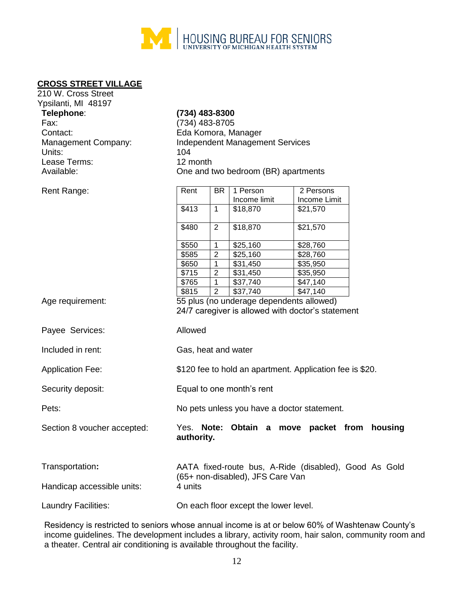

#### **CROSS STREET VILLAGE**

210 W. Cross Street

| Ypsilanti, MI 48197         |                          |                |                                             |                                                          |         |
|-----------------------------|--------------------------|----------------|---------------------------------------------|----------------------------------------------------------|---------|
| Telephone:                  | (734) 483-8300           |                |                                             |                                                          |         |
| Fax:                        | (734) 483-8705           |                |                                             |                                                          |         |
| Contact:                    |                          |                | Eda Komora, Manager                         |                                                          |         |
| Management Company:         |                          |                | <b>Independent Management Services</b>      |                                                          |         |
| Units:                      | 104                      |                |                                             |                                                          |         |
| Lease Terms:                | 12 month                 |                |                                             |                                                          |         |
| Available:                  |                          |                | One and two bedroom (BR) apartments         |                                                          |         |
|                             |                          |                |                                             |                                                          |         |
| Rent Range:                 | Rent                     | <b>BR</b>      | 1 Person                                    | 2 Persons                                                |         |
|                             |                          |                | Income limit                                | Income Limit                                             |         |
|                             | \$413                    | $\mathbf{1}$   | \$18,870                                    | \$21,570                                                 |         |
|                             |                          |                |                                             |                                                          |         |
|                             | \$480                    | $\overline{2}$ | \$18,870                                    | \$21,570                                                 |         |
|                             | \$550                    | 1              | \$25,160                                    | \$28,760                                                 |         |
|                             | \$585                    | $\overline{c}$ | \$25,160                                    | \$28,760                                                 |         |
|                             | \$650                    | 1              | \$31,450                                    | \$35,950                                                 |         |
|                             | \$715                    | $\overline{2}$ | \$31,450                                    | \$35,950                                                 |         |
|                             | \$765                    | 1              | \$37,740                                    | \$47,140                                                 |         |
|                             | \$815                    | $\overline{2}$ | \$37,740                                    | \$47,140                                                 |         |
| Age requirement:            |                          |                | 55 plus (no underage dependents allowed)    | 24/7 caregiver is allowed with doctor's statement        |         |
| Payee Services:             | Allowed                  |                |                                             |                                                          |         |
| Included in rent:           | Gas, heat and water      |                |                                             |                                                          |         |
| <b>Application Fee:</b>     |                          |                |                                             | \$120 fee to hold an apartment. Application fee is \$20. |         |
| Security deposit:           |                          |                | Equal to one month's rent                   |                                                          |         |
| Pets:                       |                          |                | No pets unless you have a doctor statement. |                                                          |         |
| Section 8 voucher accepted: | Yes. Note:<br>authority. |                | Obtain a                                    | move packet from                                         | housing |
| Transportation:             |                          |                | (65+ non-disabled), JFS Care Van            | AATA fixed-route bus, A-Ride (disabled), Good As Gold    |         |
| Handicap accessible units:  | 4 units                  |                |                                             |                                                          |         |
| Laundry Facilities:         |                          |                | On each floor except the lower level.       |                                                          |         |

Residency is restricted to seniors whose annual income is at or below 60% of Washtenaw County's income guidelines. The development includes a library, activity room, hair salon, community room and a theater. Central air conditioning is available throughout the facility.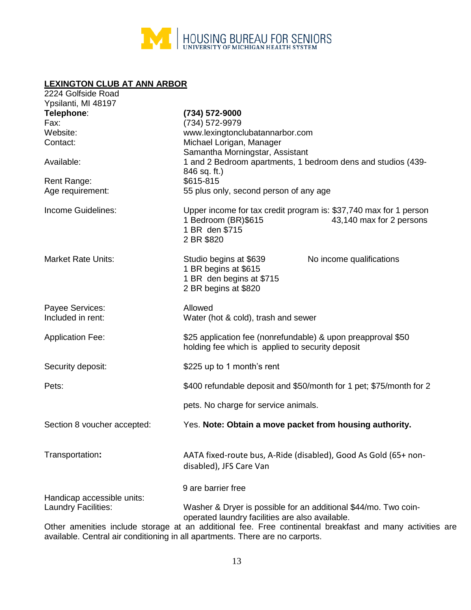

## **LEXINGTON CLUB AT ANN ARBOR**

| 2224 Golfside Road<br>Ypsilanti, MI 48197         |                                                                                                                                                      |
|---------------------------------------------------|------------------------------------------------------------------------------------------------------------------------------------------------------|
| Telephone:<br>Fax:                                | (734) 572-9000<br>(734) 572-9979                                                                                                                     |
| Website:                                          | www.lexingtonclubatannarbor.com                                                                                                                      |
| Contact:                                          | Michael Lorigan, Manager                                                                                                                             |
| Available:                                        | Samantha Morningstar, Assistant<br>1 and 2 Bedroom apartments, 1 bedroom dens and studios (439-<br>846 sq. ft.)                                      |
| Rent Range:                                       | \$615-815                                                                                                                                            |
| Age requirement:                                  | 55 plus only, second person of any age                                                                                                               |
| Income Guidelines:                                | Upper income for tax credit program is: \$37,740 max for 1 person<br>1 Bedroom (BR)\$615<br>43,140 max for 2 persons<br>1 BR den \$715<br>2 BR \$820 |
| <b>Market Rate Units:</b>                         | Studio begins at \$639<br>No income qualifications<br>1 BR begins at \$615<br>1 BR den begins at \$715<br>2 BR begins at \$820                       |
| Payee Services:<br>Included in rent:              | Allowed<br>Water (hot & cold), trash and sewer                                                                                                       |
| <b>Application Fee:</b>                           | \$25 application fee (nonrefundable) & upon preapproval \$50<br>holding fee which is applied to security deposit                                     |
| Security deposit:                                 | \$225 up to 1 month's rent                                                                                                                           |
| Pets:                                             | \$400 refundable deposit and \$50/month for 1 pet; \$75/month for 2                                                                                  |
|                                                   | pets. No charge for service animals.                                                                                                                 |
| Section 8 voucher accepted:                       | Yes. Note: Obtain a move packet from housing authority.                                                                                              |
| Transportation:                                   | AATA fixed-route bus, A-Ride (disabled), Good As Gold (65+ non-<br>disabled), JFS Care Van                                                           |
|                                                   | 9 are barrier free                                                                                                                                   |
| Handicap accessible units:<br>Laundry Facilities: | Washer & Dryer is possible for an additional \$44/mo. Two coin-<br>operated laundry facilities are also available.                                   |
|                                                   | Other amenities include storage at an additional fee. Free continental breakfast and many activities                                                 |

Other amenities include storage at an additional fee. Free continental breakfast and many activities are available. Central air conditioning in all apartments. There are no carports.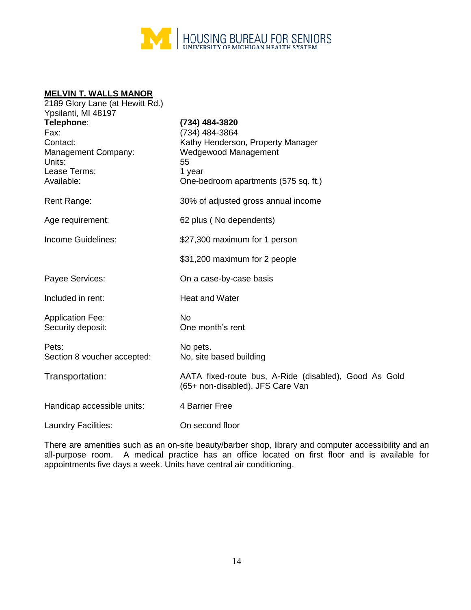

#### **MELVIN T. WALLS MANOR**

| 2189 Glory Lane (at Hewitt Rd.)                                                                                      |                                                                                                                                                       |
|----------------------------------------------------------------------------------------------------------------------|-------------------------------------------------------------------------------------------------------------------------------------------------------|
| Ypsilanti, MI 48197<br>Telephone:<br>Fax:<br>Contact:<br>Management Company:<br>Units:<br>Lease Terms:<br>Available: | (734) 484-3820<br>(734) 484-3864<br>Kathy Henderson, Property Manager<br>Wedgewood Management<br>55<br>1 year<br>One-bedroom apartments (575 sq. ft.) |
| Rent Range:                                                                                                          | 30% of adjusted gross annual income                                                                                                                   |
| Age requirement:                                                                                                     | 62 plus (No dependents)                                                                                                                               |
| Income Guidelines:                                                                                                   | \$27,300 maximum for 1 person                                                                                                                         |
|                                                                                                                      | \$31,200 maximum for 2 people                                                                                                                         |
| Payee Services:                                                                                                      | On a case-by-case basis                                                                                                                               |
| Included in rent:                                                                                                    | <b>Heat and Water</b>                                                                                                                                 |
| <b>Application Fee:</b><br>Security deposit:                                                                         | <b>No</b><br>One month's rent                                                                                                                         |
| Pets:<br>Section 8 voucher accepted:                                                                                 | No pets.<br>No, site based building                                                                                                                   |
| Transportation:                                                                                                      | AATA fixed-route bus, A-Ride (disabled), Good As Gold<br>(65+ non-disabled), JFS Care Van                                                             |
| Handicap accessible units:                                                                                           | 4 Barrier Free                                                                                                                                        |
| Laundry Facilities:                                                                                                  | On second floor                                                                                                                                       |

There are amenities such as an on-site beauty/barber shop, library and computer accessibility and an all-purpose room. A medical practice has an office located on first floor and is available for appointments five days a week. Units have central air conditioning.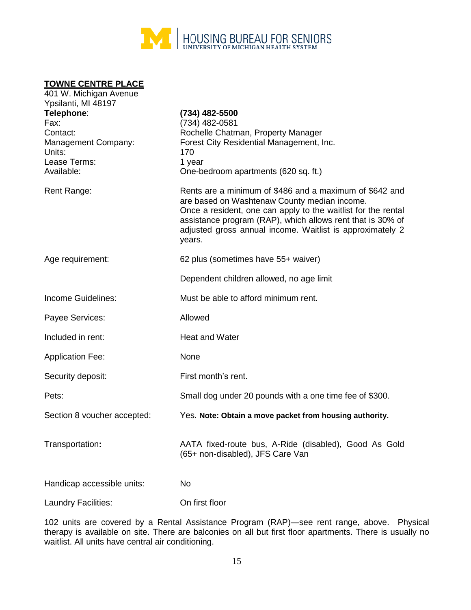

#### **TOWNE CENTRE PLACE**

| 401 W. Michigan Avenue<br>Ypsilanti, MI 48197 |                                                                                                                                                                                                                                                                                                               |
|-----------------------------------------------|---------------------------------------------------------------------------------------------------------------------------------------------------------------------------------------------------------------------------------------------------------------------------------------------------------------|
| Telephone:                                    | (734) 482-5500                                                                                                                                                                                                                                                                                                |
| Fax:<br>Contact:                              | (734) 482-0581                                                                                                                                                                                                                                                                                                |
|                                               | Rochelle Chatman, Property Manager<br>Forest City Residential Management, Inc.                                                                                                                                                                                                                                |
| Management Company:<br>Units:                 | 170                                                                                                                                                                                                                                                                                                           |
| Lease Terms:                                  | 1 year                                                                                                                                                                                                                                                                                                        |
| Available:                                    | One-bedroom apartments (620 sq. ft.)                                                                                                                                                                                                                                                                          |
|                                               |                                                                                                                                                                                                                                                                                                               |
| Rent Range:                                   | Rents are a minimum of \$486 and a maximum of \$642 and<br>are based on Washtenaw County median income.<br>Once a resident, one can apply to the waitlist for the rental<br>assistance program (RAP), which allows rent that is 30% of<br>adjusted gross annual income. Waitlist is approximately 2<br>years. |
| Age requirement:                              | 62 plus (sometimes have 55+ waiver)                                                                                                                                                                                                                                                                           |
|                                               | Dependent children allowed, no age limit                                                                                                                                                                                                                                                                      |
| Income Guidelines:                            | Must be able to afford minimum rent.                                                                                                                                                                                                                                                                          |
| Payee Services:                               | Allowed                                                                                                                                                                                                                                                                                                       |
| Included in rent:                             | <b>Heat and Water</b>                                                                                                                                                                                                                                                                                         |
| <b>Application Fee:</b>                       | None                                                                                                                                                                                                                                                                                                          |
| Security deposit:                             | First month's rent.                                                                                                                                                                                                                                                                                           |
| Pets:                                         | Small dog under 20 pounds with a one time fee of \$300.                                                                                                                                                                                                                                                       |
| Section 8 voucher accepted:                   | Yes. Note: Obtain a move packet from housing authority.                                                                                                                                                                                                                                                       |
| Transportation:                               | AATA fixed-route bus, A-Ride (disabled), Good As Gold<br>(65+ non-disabled), JFS Care Van                                                                                                                                                                                                                     |
| Handicap accessible units:                    | No                                                                                                                                                                                                                                                                                                            |
| Laundry Facilities:                           | On first floor                                                                                                                                                                                                                                                                                                |
|                                               |                                                                                                                                                                                                                                                                                                               |

102 units are covered by a Rental Assistance Program (RAP)—see rent range, above. Physical therapy is available on site. There are balconies on all but first floor apartments. There is usually no waitlist. All units have central air conditioning.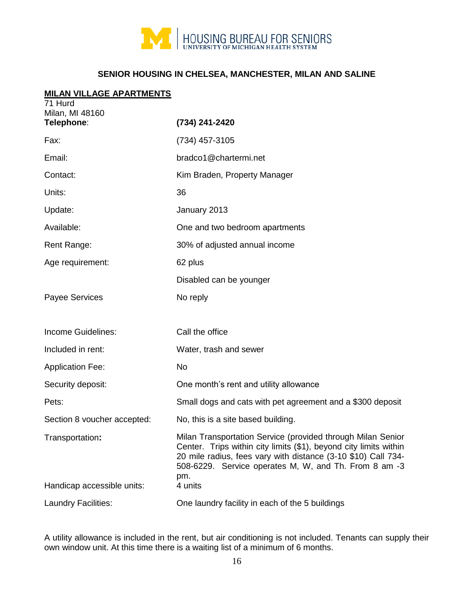

# **SENIOR HOUSING IN CHELSEA, MANCHESTER, MILAN AND SALINE**

#### **MILAN VILLAGE APARTMENTS**

| 71 Hurd<br>Milan, MI 48160<br>Telephone: | (734) 241-2420                                                                                                                                                                                                                                                    |
|------------------------------------------|-------------------------------------------------------------------------------------------------------------------------------------------------------------------------------------------------------------------------------------------------------------------|
| Fax:                                     | (734) 457-3105                                                                                                                                                                                                                                                    |
| Email:                                   | bradco1@chartermi.net                                                                                                                                                                                                                                             |
| Contact:                                 | Kim Braden, Property Manager                                                                                                                                                                                                                                      |
| Units:                                   | 36                                                                                                                                                                                                                                                                |
| Update:                                  | January 2013                                                                                                                                                                                                                                                      |
| Available:                               | One and two bedroom apartments                                                                                                                                                                                                                                    |
| Rent Range:                              | 30% of adjusted annual income                                                                                                                                                                                                                                     |
| Age requirement:                         | 62 plus                                                                                                                                                                                                                                                           |
|                                          | Disabled can be younger                                                                                                                                                                                                                                           |
| <b>Payee Services</b>                    | No reply                                                                                                                                                                                                                                                          |
| Income Guidelines:                       | Call the office                                                                                                                                                                                                                                                   |
| Included in rent:                        | Water, trash and sewer                                                                                                                                                                                                                                            |
| <b>Application Fee:</b>                  | No                                                                                                                                                                                                                                                                |
| Security deposit:                        | One month's rent and utility allowance                                                                                                                                                                                                                            |
| Pets:                                    | Small dogs and cats with pet agreement and a \$300 deposit                                                                                                                                                                                                        |
| Section 8 voucher accepted:              | No, this is a site based building.                                                                                                                                                                                                                                |
| Transportation:                          | Milan Transportation Service (provided through Milan Senior<br>Center. Trips within city limits (\$1), beyond city limits within<br>20 mile radius, fees vary with distance (3-10 \$10) Call 734-<br>508-6229. Service operates M, W, and Th. From 8 am -3<br>pm. |
| Handicap accessible units:               | 4 units                                                                                                                                                                                                                                                           |
| Laundry Facilities:                      | One laundry facility in each of the 5 buildings                                                                                                                                                                                                                   |

A utility allowance is included in the rent, but air conditioning is not included. Tenants can supply their own window unit. At this time there is a waiting list of a minimum of 6 months.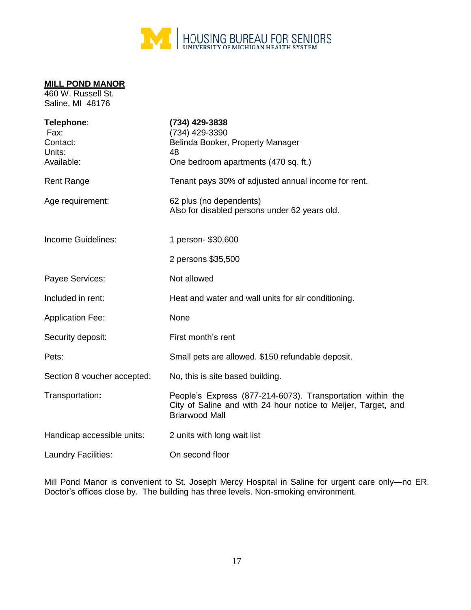

# **MILL POND MANOR**

460 W. Russell St. Saline, MI 48176

| Telephone:<br>Fax:<br>Contact:<br>Units:<br>Available: | (734) 429-3838<br>(734) 429-3390<br>Belinda Booker, Property Manager<br>48<br>One bedroom apartments (470 sq. ft.)                                   |
|--------------------------------------------------------|------------------------------------------------------------------------------------------------------------------------------------------------------|
| <b>Rent Range</b>                                      | Tenant pays 30% of adjusted annual income for rent.                                                                                                  |
| Age requirement:                                       | 62 plus (no dependents)<br>Also for disabled persons under 62 years old.                                                                             |
| Income Guidelines:                                     | 1 person- \$30,600                                                                                                                                   |
|                                                        | 2 persons \$35,500                                                                                                                                   |
| Payee Services:                                        | Not allowed                                                                                                                                          |
| Included in rent:                                      | Heat and water and wall units for air conditioning.                                                                                                  |
| <b>Application Fee:</b>                                | None                                                                                                                                                 |
| Security deposit:                                      | First month's rent                                                                                                                                   |
| Pets:                                                  | Small pets are allowed. \$150 refundable deposit.                                                                                                    |
| Section 8 voucher accepted:                            | No, this is site based building.                                                                                                                     |
| Transportation:                                        | People's Express (877-214-6073). Transportation within the<br>City of Saline and with 24 hour notice to Meijer, Target, and<br><b>Briarwood Mall</b> |
| Handicap accessible units:                             | 2 units with long wait list                                                                                                                          |
| Laundry Facilities:                                    | On second floor                                                                                                                                      |

Mill Pond Manor is convenient to St. Joseph Mercy Hospital in Saline for urgent care only—no ER. Doctor's offices close by. The building has three levels. Non-smoking environment.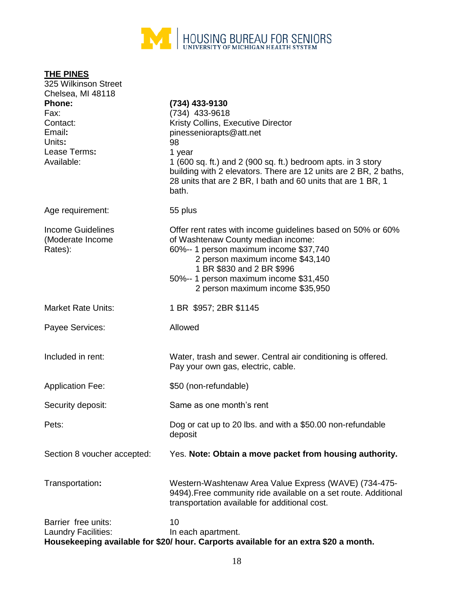

| THE PINES<br>325 Wilkinson Street  |                                                                                                                                                                                                           |
|------------------------------------|-----------------------------------------------------------------------------------------------------------------------------------------------------------------------------------------------------------|
| Chelsea, MI 48118<br><b>Phone:</b> | (734) 433-9130                                                                                                                                                                                            |
| Fax:                               | (734) 433-9618                                                                                                                                                                                            |
| Contact:                           | Kristy Collins, Executive Director                                                                                                                                                                        |
| Email:                             | pinesseniorapts@att.net                                                                                                                                                                                   |
| Units:                             | 98                                                                                                                                                                                                        |
| Lease Terms:                       | 1 year                                                                                                                                                                                                    |
| Available:                         | 1 (600 sq. ft.) and 2 (900 sq. ft.) bedroom apts. in 3 story<br>building with 2 elevators. There are 12 units are 2 BR, 2 baths,<br>28 units that are 2 BR, I bath and 60 units that are 1 BR, 1<br>bath. |
| Age requirement:                   | 55 plus                                                                                                                                                                                                   |
| <b>Income Guidelines</b>           | Offer rent rates with income guidelines based on 50% or 60%                                                                                                                                               |
| (Moderate Income                   | of Washtenaw County median income:                                                                                                                                                                        |
| Rates):                            | 60%-- 1 person maximum income \$37,740                                                                                                                                                                    |
|                                    | 2 person maximum income \$43,140                                                                                                                                                                          |
|                                    | 1 BR \$830 and 2 BR \$996<br>50%-- 1 person maximum income \$31,450                                                                                                                                       |
|                                    | 2 person maximum income \$35,950                                                                                                                                                                          |
| <b>Market Rate Units:</b>          | 1 BR \$957; 2BR \$1145                                                                                                                                                                                    |
|                                    | Allowed                                                                                                                                                                                                   |
| Payee Services:                    |                                                                                                                                                                                                           |
| Included in rent:                  | Water, trash and sewer. Central air conditioning is offered.<br>Pay your own gas, electric, cable.                                                                                                        |
| <b>Application Fee:</b>            | \$50 (non-refundable)                                                                                                                                                                                     |
| Security deposit:                  | Same as one month's rent                                                                                                                                                                                  |
| Pets:                              | Dog or cat up to 20 lbs. and with a \$50.00 non-refundable<br>deposit                                                                                                                                     |
| Section 8 voucher accepted:        | Yes. Note: Obtain a move packet from housing authority.                                                                                                                                                   |
| Transportation:                    | Western-Washtenaw Area Value Express (WAVE) (734-475-<br>9494). Free community ride available on a set route. Additional<br>transportation available for additional cost.                                 |
| Barrier free units:                | 10                                                                                                                                                                                                        |
| Laundry Facilities:                | In each apartment.                                                                                                                                                                                        |
|                                    | Housekeeping available for \$20/ hour. Carports available for an extra \$20 a month.                                                                                                                      |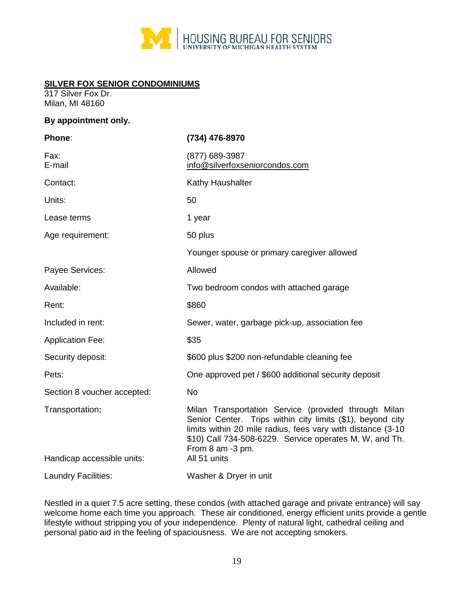

## **SILVER FOX SENIOR CONDOMINIUMS**

317 Silver Fox Dr. Milan, MI 48160

#### **By appointment only.**

| (734) 476-8970                                                                                                                                                                                                                                                                   |
|----------------------------------------------------------------------------------------------------------------------------------------------------------------------------------------------------------------------------------------------------------------------------------|
| (877) 689-3987<br>info@silverfoxseniorcondos.com                                                                                                                                                                                                                                 |
| Kathy Haushalter                                                                                                                                                                                                                                                                 |
| 50                                                                                                                                                                                                                                                                               |
| 1 year                                                                                                                                                                                                                                                                           |
| 50 plus                                                                                                                                                                                                                                                                          |
| Younger spouse or primary caregiver allowed                                                                                                                                                                                                                                      |
| Allowed                                                                                                                                                                                                                                                                          |
| Two bedroom condos with attached garage                                                                                                                                                                                                                                          |
| \$860                                                                                                                                                                                                                                                                            |
| Sewer, water, garbage pick-up, association fee                                                                                                                                                                                                                                   |
| \$35                                                                                                                                                                                                                                                                             |
| \$600 plus \$200 non-refundable cleaning fee                                                                                                                                                                                                                                     |
| One approved pet / \$600 additional security deposit                                                                                                                                                                                                                             |
| No                                                                                                                                                                                                                                                                               |
| Milan Transportation Service (provided through Milan<br>Senior Center. Trips within city limits (\$1), beyond city<br>limits within 20 mile radius, fees vary with distance (3-10<br>\$10) Call 734-508-6229. Service operates M, W, and Th.<br>From 8 am -3 pm.<br>All 51 units |
| Washer & Dryer in unit                                                                                                                                                                                                                                                           |
|                                                                                                                                                                                                                                                                                  |

Nestled in a quiet 7.5 acre setting, these condos (with attached garage and private entrance) will say welcome home each time you approach. These air conditioned, energy efficient units provide a gentle lifestyle without stripping you of your independence. Plenty of natural light, cathedral ceiling and personal patio aid in the feeling of spaciousness. We are not accepting smokers.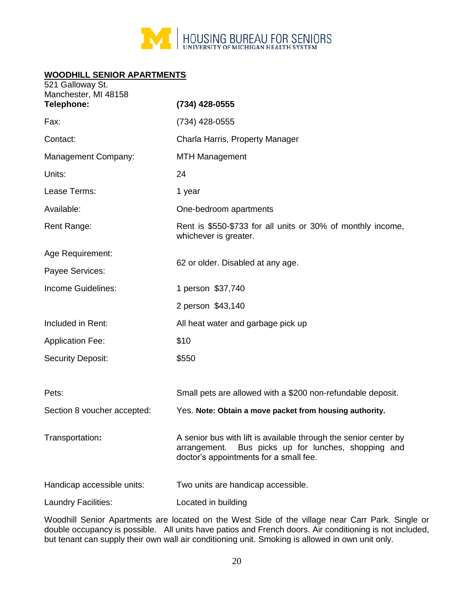

# **WOODHILL SENIOR APARTMENTS**

| 521 Galloway St.<br>Manchester, MI 48158<br>Telephone: | (734) 428-0555                                                                                                                                                       |
|--------------------------------------------------------|----------------------------------------------------------------------------------------------------------------------------------------------------------------------|
| Fax:                                                   | (734) 428-0555                                                                                                                                                       |
| Contact:                                               | Charla Harris, Property Manager                                                                                                                                      |
| Management Company:                                    | <b>MTH Management</b>                                                                                                                                                |
| Units:                                                 | 24                                                                                                                                                                   |
| Lease Terms:                                           | 1 year                                                                                                                                                               |
| Available:                                             | One-bedroom apartments                                                                                                                                               |
| Rent Range:                                            | Rent is \$550-\$733 for all units or 30% of monthly income,<br>whichever is greater.                                                                                 |
| Age Requirement:                                       |                                                                                                                                                                      |
| Payee Services:                                        | 62 or older. Disabled at any age.                                                                                                                                    |
| Income Guidelines:                                     | 1 person \$37,740                                                                                                                                                    |
|                                                        | 2 person \$43,140                                                                                                                                                    |
| Included in Rent:                                      | All heat water and garbage pick up                                                                                                                                   |
| <b>Application Fee:</b>                                | \$10                                                                                                                                                                 |
| <b>Security Deposit:</b>                               | \$550                                                                                                                                                                |
| Pets:                                                  | Small pets are allowed with a \$200 non-refundable deposit.                                                                                                          |
| Section 8 voucher accepted:                            | Yes. Note: Obtain a move packet from housing authority.                                                                                                              |
| Transportation:                                        | A senior bus with lift is available through the senior center by<br>Bus picks up for lunches, shopping and<br>arrangement.<br>doctor's appointments for a small fee. |
| Handicap accessible units:                             | Two units are handicap accessible.                                                                                                                                   |
| Laundry Facilities:                                    | Located in building                                                                                                                                                  |

Woodhill Senior Apartments are located on the West Side of the village near Carr Park. Single or double occupancy is possible. All units have patios and French doors. Air conditioning is not included, but tenant can supply their own wall air conditioning unit. Smoking is allowed in own unit only.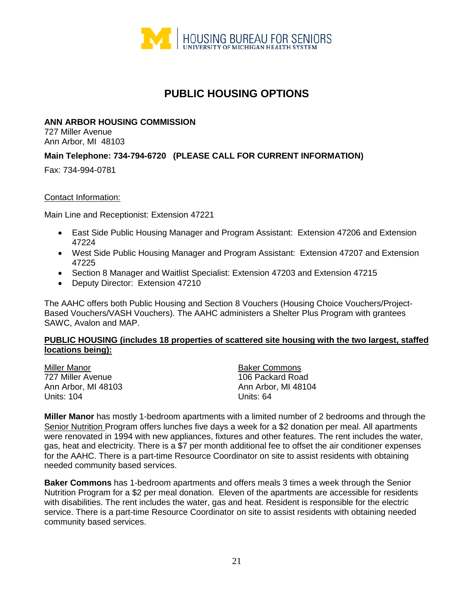

# **PUBLIC HOUSING OPTIONS**

#### **ANN ARBOR HOUSING COMMISSION**

727 Miller Avenue Ann Arbor, MI 48103

## **Main Telephone: 734-794-6720 (PLEASE CALL FOR CURRENT INFORMATION)**

Fax: 734-994-0781

#### Contact Information:

Main Line and Receptionist: Extension 47221

- East Side Public Housing Manager and Program Assistant: Extension 47206 and Extension 47224
- West Side Public Housing Manager and Program Assistant: Extension 47207 and Extension 47225
- Section 8 Manager and Waitlist Specialist: Extension 47203 and Extension 47215
- Deputy Director: Extension 47210

The AAHC offers both Public Housing and Section 8 Vouchers (Housing Choice Vouchers/Project-Based Vouchers/VASH Vouchers). The AAHC administers a Shelter Plus Program with grantees SAWC, Avalon and MAP.

#### **PUBLIC HOUSING (includes 18 properties of scattered site housing with the two largest, staffed locations being):**

| Miller Manor        |
|---------------------|
| 727 Miller Avenue   |
| Ann Arbor, MI 48103 |
| <b>Units: 104</b>   |

**Baker Commons** 106 Packard Road Ann Arbor, MI 48104 Units: 64

**Miller Manor** has mostly 1-bedroom apartments with a limited number of 2 bedrooms and through the Senior Nutrition Program offers lunches five days a week for a \$2 donation per meal. All apartments were renovated in 1994 with new appliances, fixtures and other features. The rent includes the water, gas, heat and electricity. There is a \$7 per month additional fee to offset the air conditioner expenses for the AAHC. There is a part-time Resource Coordinator on site to assist residents with obtaining needed community based services.

**Baker Commons** has 1-bedroom apartments and offers meals 3 times a week through the Senior Nutrition Program for a \$2 per meal donation. Eleven of the apartments are accessible for residents with disabilities. The rent includes the water, gas and heat. Resident is responsible for the electric service. There is a part-time Resource Coordinator on site to assist residents with obtaining needed community based services.